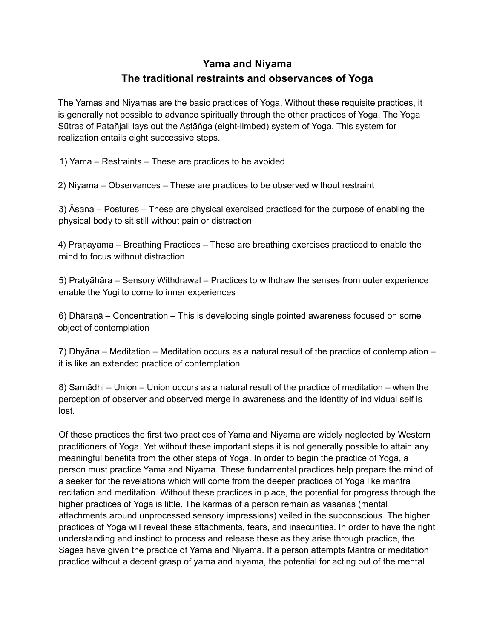## **Yama and Niyama The traditional restraints and observances of Yoga**

The Yamas and Niyamas are the basic practices of Yoga. Without these requisite practices, it is generally not possible to advance spiritually through the other practices of Yoga. The Yoga Sūtras of Patañjali lays out the Astāṅga (eight-limbed) system of Yoga. This system for realization entails eight successive steps.

1) Yama – Restraints – These are practices to be avoided

2) Niyama – Observances – These are practices to be observed without restraint

3) Āsana – Postures – These are physical exercised practiced for the purpose of enabling the physical body to sit still without pain or distraction

4) Prāṇāyāma – Breathing Practices – These are breathing exercises practiced to enable the mind to focus without distraction

5) Pratyāhāra – Sensory Withdrawal – Practices to withdraw the senses from outer experience enable the Yogi to come to inner experiences

6) Dhāraṇā – Concentration – This is developing single pointed awareness focused on some object of contemplation

7) Dhyāna – Meditation – Meditation occurs as a natural result of the practice of contemplation – it is like an extended practice of contemplation

8) Samādhi – Union – Union occurs as a natural result of the practice of meditation – when the perception of observer and observed merge in awareness and the identity of individual self is lost.

Of these practices the first two practices of Yama and Niyama are widely neglected by Western practitioners of Yoga. Yet without these important steps it is not generally possible to attain any meaningful benefits from the other steps of Yoga. In order to begin the practice of Yoga, a person must practice Yama and Niyama. These fundamental practices help prepare the mind of a seeker for the revelations which will come from the deeper practices of Yoga like mantra recitation and meditation. Without these practices in place, the potential for progress through the higher practices of Yoga is little. The karmas of a person remain as vasanas (mental attachments around unprocessed sensory impressions) veiled in the subconscious. The higher practices of Yoga will reveal these attachments, fears, and insecurities. In order to have the right understanding and instinct to process and release these as they arise through practice, the Sages have given the practice of Yama and Niyama. If a person attempts Mantra or meditation practice without a decent grasp of yama and niyama, the potential for acting out of the mental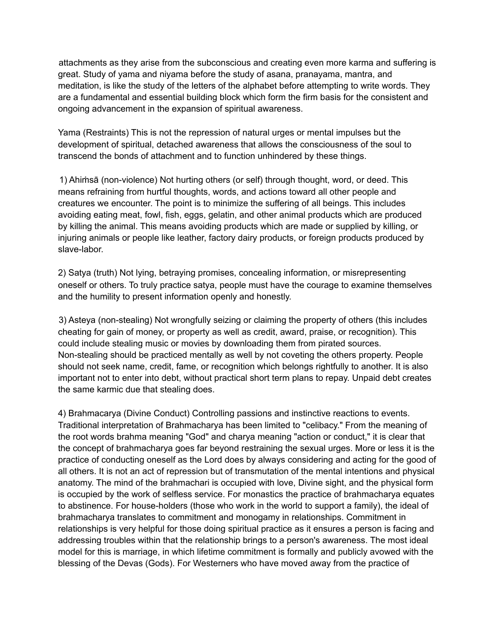attachments as they arise from the subconscious and creating even more karma and suffering is great. Study of yama and niyama before the study of asana, pranayama, mantra, and meditation, is like the study of the letters of the alphabet before attempting to write words. They are a fundamental and essential building block which form the firm basis for the consistent and ongoing advancement in the expansion of spiritual awareness.

Yama (Restraints) This is not the repression of natural urges or mental impulses but the development of spiritual, detached awareness that allows the consciousness of the soul to transcend the bonds of attachment and to function unhindered by these things.

1) Ahiṁsā (non-violence) Not hurting others (or self) through thought, word, or deed. This means refraining from hurtful thoughts, words, and actions toward all other people and creatures we encounter. The point is to minimize the suffering of all beings. This includes avoiding eating meat, fowl, fish, eggs, gelatin, and other animal products which are produced by killing the animal. This means avoiding products which are made or supplied by killing, or injuring animals or people like leather, factory dairy products, or foreign products produced by slave-labor.

2) Satya (truth) Not lying, betraying promises, concealing information, or misrepresenting oneself or others. To truly practice satya, people must have the courage to examine themselves and the humility to present information openly and honestly.

3) Asteya (non-stealing) Not wrongfully seizing or claiming the property of others (this includes cheating for gain of money, or property as well as credit, award, praise, or recognition). This could include stealing music or movies by downloading them from pirated sources. Non-stealing should be practiced mentally as well by not coveting the others property. People should not seek name, credit, fame, or recognition which belongs rightfully to another. It is also important not to enter into debt, without practical short term plans to repay. Unpaid debt creates the same karmic due that stealing does.

4) Brahmacarya (Divine Conduct) Controlling passions and instinctive reactions to events. Traditional interpretation of Brahmacharya has been limited to "celibacy." From the meaning of the root words brahma meaning "God" and charya meaning "action or conduct," it is clear that the concept of brahmacharya goes far beyond restraining the sexual urges. More or less it is the practice of conducting oneself as the Lord does by always considering and acting for the good of all others. It is not an act of repression but of transmutation of the mental intentions and physical anatomy. The mind of the brahmachari is occupied with love, Divine sight, and the physical form is occupied by the work of selfless service. For monastics the practice of brahmacharya equates to abstinence. For house-holders (those who work in the world to support a family), the ideal of brahmacharya translates to commitment and monogamy in relationships. Commitment in relationships is very helpful for those doing spiritual practice as it ensures a person is facing and addressing troubles within that the relationship brings to a person's awareness. The most ideal model for this is marriage, in which lifetime commitment is formally and publicly avowed with the blessing of the Devas (Gods). For Westerners who have moved away from the practice of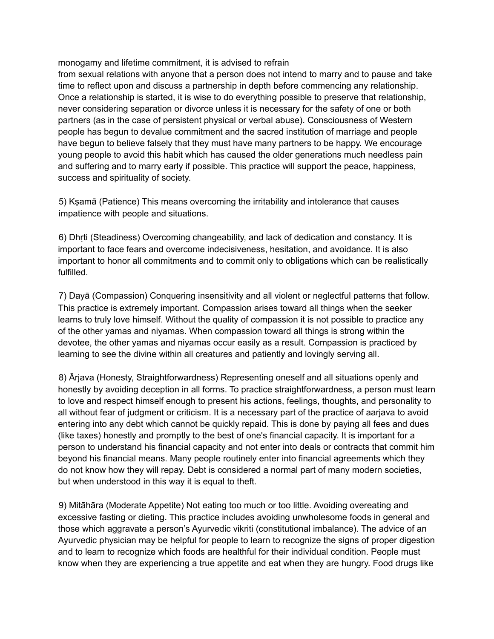monogamy and lifetime commitment, it is advised to refrain

from sexual relations with anyone that a person does not intend to marry and to pause and take time to reflect upon and discuss a partnership in depth before commencing any relationship. Once a relationship is started, it is wise to do everything possible to preserve that relationship, never considering separation or divorce unless it is necessary for the safety of one or both partners (as in the case of persistent physical or verbal abuse). Consciousness of Western people has begun to devalue commitment and the sacred institution of marriage and people have begun to believe falsely that they must have many partners to be happy. We encourage young people to avoid this habit which has caused the older generations much needless pain and suffering and to marry early if possible. This practice will support the peace, happiness, success and spirituality of society.

5) Kṣamā (Patience) This means overcoming the irritability and intolerance that causes impatience with people and situations.

6) Dhṛti (Steadiness) Overcoming changeability, and lack of dedication and constancy. It is important to face fears and overcome indecisiveness, hesitation, and avoidance. It is also important to honor all commitments and to commit only to obligations which can be realistically fulfilled.

7) Dayā (Compassion) Conquering insensitivity and all violent or neglectful patterns that follow. This practice is extremely important. Compassion arises toward all things when the seeker learns to truly love himself. Without the quality of compassion it is not possible to practice any of the other yamas and niyamas. When compassion toward all things is strong within the devotee, the other yamas and niyamas occur easily as a result. Compassion is practiced by learning to see the divine within all creatures and patiently and lovingly serving all.

8) Ārjava (Honesty, Straightforwardness) Representing oneself and all situations openly and honestly by avoiding deception in all forms. To practice straightforwardness, a person must learn to love and respect himself enough to present his actions, feelings, thoughts, and personality to all without fear of judgment or criticism. It is a necessary part of the practice of aarjava to avoid entering into any debt which cannot be quickly repaid. This is done by paying all fees and dues (like taxes) honestly and promptly to the best of one's financial capacity. It is important for a person to understand his financial capacity and not enter into deals or contracts that commit him beyond his financial means. Many people routinely enter into financial agreements which they do not know how they will repay. Debt is considered a normal part of many modern societies, but when understood in this way it is equal to theft.

9) Mitāhāra (Moderate Appetite) Not eating too much or too little. Avoiding overeating and excessive fasting or dieting. This practice includes avoiding unwholesome foods in general and those which aggravate a person's Ayurvedic vikriti (constitutional imbalance). The advice of an Ayurvedic physician may be helpful for people to learn to recognize the signs of proper digestion and to learn to recognize which foods are healthful for their individual condition. People must know when they are experiencing a true appetite and eat when they are hungry. Food drugs like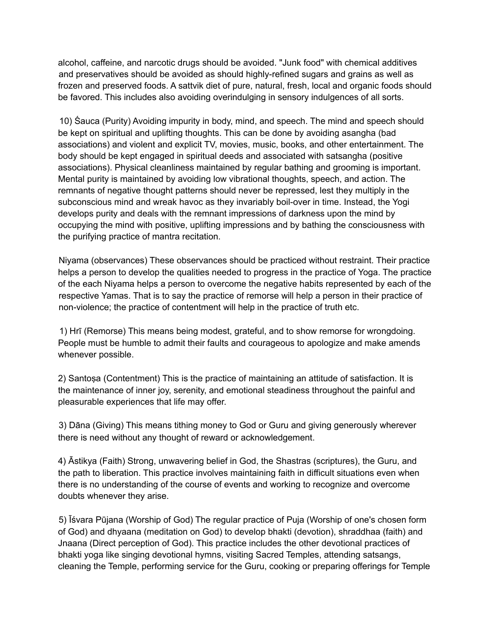alcohol, caffeine, and narcotic drugs should be avoided. "Junk food" with chemical additives and preservatives should be avoided as should highly-refined sugars and grains as well as frozen and preserved foods. A sattvik diet of pure, natural, fresh, local and organic foods should be favored. This includes also avoiding overindulging in sensory indulgences of all sorts.

10) Śauca (Purity) Avoiding impurity in body, mind, and speech. The mind and speech should be kept on spiritual and uplifting thoughts. This can be done by avoiding asangha (bad associations) and violent and explicit TV, movies, music, books, and other entertainment. The body should be kept engaged in spiritual deeds and associated with satsangha (positive associations). Physical cleanliness maintained by regular bathing and grooming is important. Mental purity is maintained by avoiding low vibrational thoughts, speech, and action. The remnants of negative thought patterns should never be repressed, lest they multiply in the subconscious mind and wreak havoc as they invariably boil-over in time. Instead, the Yogi develops purity and deals with the remnant impressions of darkness upon the mind by occupying the mind with positive, uplifting impressions and by bathing the consciousness with the purifying practice of mantra recitation.

Niyama (observances) These observances should be practiced without restraint. Their practice helps a person to develop the qualities needed to progress in the practice of Yoga. The practice of the each Niyama helps a person to overcome the negative habits represented by each of the respective Yamas. That is to say the practice of remorse will help a person in their practice of non-violence; the practice of contentment will help in the practice of truth etc.

1) Hrī (Remorse) This means being modest, grateful, and to show remorse for wrongdoing. People must be humble to admit their faults and courageous to apologize and make amends whenever possible.

2) Santoṣa (Contentment) This is the practice of maintaining an attitude of satisfaction. It is the maintenance of inner joy, serenity, and emotional steadiness throughout the painful and pleasurable experiences that life may offer.

3) Dāna (Giving) This means tithing money to God or Guru and giving generously wherever there is need without any thought of reward or acknowledgement.

4) Āstikya (Faith) Strong, unwavering belief in God, the Shastras (scriptures), the Guru, and the path to liberation. This practice involves maintaining faith in difficult situations even when there is no understanding of the course of events and working to recognize and overcome doubts whenever they arise.

5) Īśvara Pūjana (Worship of God) The regular practice of Puja (Worship of one's chosen form of God) and dhyaana (meditation on God) to develop bhakti (devotion), shraddhaa (faith) and Jnaana (Direct perception of God). This practice includes the other devotional practices of bhakti yoga like singing devotional hymns, visiting Sacred Temples, attending satsangs, cleaning the Temple, performing service for the Guru, cooking or preparing offerings for Temple